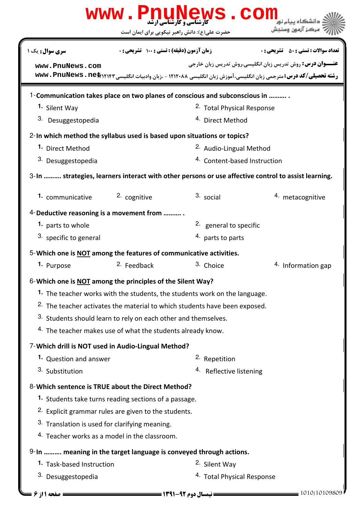|                                                                            |                                                                  | www.PnuNews.con                                                                       |                                                                                                                                                                                    |  |  |
|----------------------------------------------------------------------------|------------------------------------------------------------------|---------------------------------------------------------------------------------------|------------------------------------------------------------------------------------------------------------------------------------------------------------------------------------|--|--|
|                                                                            | حضرت علی(ع): دانش راهبر نیکویی برای ایمان است                    |                                                                                       | مركز آزمون وسنجش                                                                                                                                                                   |  |  |
| <b>سری سوال :</b> یک ۱                                                     | زمان آزمون (دقیقه) : تستی : 100 تشریحی : 0                       |                                                                                       | <b>تعداد سوالات : تستي : 50 ٪ تشريحي : 0</b>                                                                                                                                       |  |  |
| www.PnuNews.com                                                            |                                                                  |                                                                                       | <b>عنـــوان درس:</b> روش تدریس زبان انگلیسی،روش تدریس زبان خارجی<br>رشته تحصیلی/کد درس: مترجمی زبان انگلیسی، آموزش زبان انگلیسی ۱۲۱۲۰۸۸ - ،زبان وادبیات انگلیسی www. PnuNews . net |  |  |
| 1-Communication takes place on two planes of conscious and subconscious in |                                                                  |                                                                                       |                                                                                                                                                                                    |  |  |
| 1. Silent Way                                                              |                                                                  | <sup>2.</sup> Total Physical Response                                                 |                                                                                                                                                                                    |  |  |
| 3. Desuggestopedia                                                         |                                                                  | <sup>4.</sup> Direct Method                                                           |                                                                                                                                                                                    |  |  |
| 2-In which method the syllabus used is based upon situations or topics?    |                                                                  |                                                                                       |                                                                                                                                                                                    |  |  |
| 1. Direct Method                                                           |                                                                  | 2. Audio-Lingual Method                                                               |                                                                                                                                                                                    |  |  |
| 3. Desuggestopedia                                                         |                                                                  | <sup>4.</sup> Content-based Instruction                                               |                                                                                                                                                                                    |  |  |
|                                                                            |                                                                  |                                                                                       | 3-In  strategies, learners interact with other persons or use affective control to assist learning.                                                                                |  |  |
| 1. communicative                                                           | 2. cognitive                                                     | 3. social                                                                             | 4. metacognitive                                                                                                                                                                   |  |  |
| 4-Deductive reasoning is a movement from                                   |                                                                  |                                                                                       |                                                                                                                                                                                    |  |  |
| 1. parts to whole                                                          |                                                                  | <sup>2.</sup> general to specific                                                     |                                                                                                                                                                                    |  |  |
| 3. specific to general                                                     |                                                                  | 4. parts to parts                                                                     |                                                                                                                                                                                    |  |  |
| 5-Which one is <b>NOT</b> among the features of communicative activities.  |                                                                  |                                                                                       |                                                                                                                                                                                    |  |  |
| 1. Purpose                                                                 | <sup>2.</sup> Feedback                                           | 3. Choice                                                                             | 4. Information gap                                                                                                                                                                 |  |  |
| 6-Which one is NOT among the principles of the Silent Way?                 |                                                                  |                                                                                       |                                                                                                                                                                                    |  |  |
|                                                                            |                                                                  | 1. The teacher works with the students, the students work on the language.            |                                                                                                                                                                                    |  |  |
|                                                                            |                                                                  | <sup>2.</sup> The teacher activates the material to which students have been exposed. |                                                                                                                                                                                    |  |  |
| 3. Students should learn to rely on each other and themselves.             |                                                                  |                                                                                       |                                                                                                                                                                                    |  |  |
| 4. The teacher makes use of what the students already know.                |                                                                  |                                                                                       |                                                                                                                                                                                    |  |  |
| 7- Which drill is NOT used in Audio-Lingual Method?                        |                                                                  |                                                                                       |                                                                                                                                                                                    |  |  |
| <sup>1.</sup> Question and answer                                          |                                                                  | <sup>2.</sup> Repetition                                                              |                                                                                                                                                                                    |  |  |
| 3. Substitution                                                            |                                                                  | 4. Reflective listening                                                               |                                                                                                                                                                                    |  |  |
| 8-Which sentence is TRUE about the Direct Method?                          |                                                                  |                                                                                       |                                                                                                                                                                                    |  |  |
|                                                                            | <sup>1.</sup> Students take turns reading sections of a passage. |                                                                                       |                                                                                                                                                                                    |  |  |
| <sup>2.</sup> Explicit grammar rules are given to the students.            |                                                                  |                                                                                       |                                                                                                                                                                                    |  |  |
| 3. Translation is used for clarifying meaning.                             |                                                                  |                                                                                       |                                                                                                                                                                                    |  |  |
| <sup>4.</sup> Teacher works as a model in the classroom.                   |                                                                  |                                                                                       |                                                                                                                                                                                    |  |  |
| 9-In  meaning in the target language is conveyed through actions.          |                                                                  |                                                                                       |                                                                                                                                                                                    |  |  |
| 1. Task-based Instruction                                                  |                                                                  | 2. Silent Way                                                                         |                                                                                                                                                                                    |  |  |
| 3. Desuggestopedia                                                         |                                                                  | <sup>4.</sup> Total Physical Response                                                 |                                                                                                                                                                                    |  |  |
| صفحه 11; 6 =                                                               |                                                                  |                                                                                       | 1010/10109809                                                                                                                                                                      |  |  |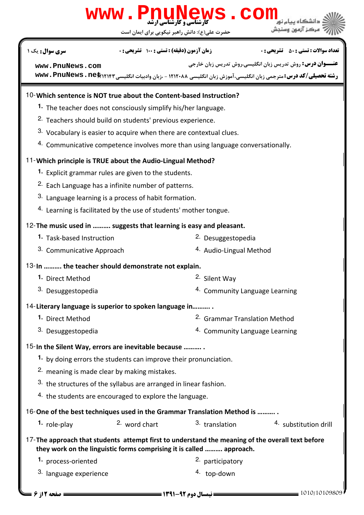## حضرت علي(ع): دانش راهبر نيكويي براي ايمان است كارشناسي و كارشناسي ارشد **[www.PnuNews.com](http://pnunews.com) عنـــوان درس:** روش تدریس زبان انگلیسی،روش تدریس زبان خارجی ر**شته تحصیلی/کد درس:**مترجمی زبان انگلیسی،آموزش زبان انگلیسی ۱۲۱۲۰۸۸ - ،زبان وادبیات انگلیسی www . PnuNews . net نعداد سوالات : تستي : ۵۰ تشريحي : . زمان آزمون (دقيقه) : تستي : ۱۰۰ تشريحي : . سري سوال : يک 1 Which sentence is NOT true about the Content-based Instruction? 10- 1. The teacher does not consciously simplify his/her language. <sup>2.</sup> Teachers should build on students' previous experience.  $3.$  Vocabulary is easier to acquire when there are contextual clues.  $4.$  Communicative competence involves more than using language conversationally. Which principle is TRUE about the Audio-Lingual Method? 11- 1. Explicit grammar rules are given to the students. <sup>2.</sup> Each Language has a infinite number of patterns.  $3.$  Language learning is a process of habit formation. 4. Learning is facilitated by the use of students' mother tongue. 12- The music used in .......... suggests that learning is easy and pleasant. **1.** Task-based Instruction **Desuggestopedia 1.** Task-based Instruction 3. Communicative Approach **Audio-Lingual Method** 4. Audio-Lingual Method 13-In .......... the teacher should demonstrate not explain. 1. Direct Method **1. 2. Silent Way** 4. Community Language Learning 3. Desuggestopedia 14-Literary language is superior to spoken language in............ 2. Grammar Translation Method 4. Community Language Learning 1. Direct Method 3. Desuggestopedia 15-In the Silent Way, errors are inevitable because ........... 1. by doing errors the students can improve their pronunciation. 2. meaning is made clear by making mistakes.  $3.$  the structures of the syllabus are arranged in linear fashion.  $4.$  the students are encouraged to explore the language. 16-One of the best techniques used in the Grammar Translation Method is ........... 1. role-play 2. word chart  $\frac{3}{1}$  translation  $\frac{4}{1}$  substitution drill 2. word chart 17-The approach that students attempt first to understand the meaning of the overall text before they work on the linguistic forms comprising it is called ………. approach. 1. process-oriented **1. 2.** participatory <sup>3.</sup> language experience to the set of the <sup>4</sup> top-down **[www.PnuNews.com](http://pnunews.com)**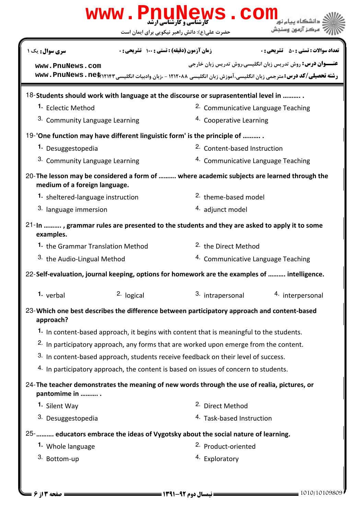|                                                                                                                              |            | www.PnuNews.com<br>حضرت علی(ع): دانش راهبر نیکویی برای ایمان است | نشگاه بیام ز<br>مركز آزمون وسنجش                                                                                                                                                   |  |
|------------------------------------------------------------------------------------------------------------------------------|------------|------------------------------------------------------------------|------------------------------------------------------------------------------------------------------------------------------------------------------------------------------------|--|
| سری سوال: یک ۱                                                                                                               |            | <b>زمان آزمون (دقیقه) : تستی : 100 تشریحی : 0</b>                | <b>تعداد سوالات : تستي : 50 ٪ تشريحي : 0</b>                                                                                                                                       |  |
| www.PnuNews.com                                                                                                              |            |                                                                  | <b>عنـــوان درس:</b> روش تدریس زبان انگلیسی،روش تدریس زبان خارجی<br>رشته تحصیلی/کد درس: مترجمی زبان انگلیسی، آموزش زبان انگلیسی ۱۲۱۲۰۸۸ - ،زبان وادبیات انگلیسی www. PnuNews . net |  |
| 18-Students should work with language at the discourse or suprasentential level in                                           |            |                                                                  |                                                                                                                                                                                    |  |
| 1. Eclectic Method                                                                                                           |            |                                                                  | <sup>2.</sup> Communicative Language Teaching                                                                                                                                      |  |
| 3. Community Language Learning                                                                                               |            | 4. Cooperative Learning                                          |                                                                                                                                                                                    |  |
| 19-'One function may have different linguistic form' is the principle of                                                     |            |                                                                  |                                                                                                                                                                                    |  |
| 1. Desuggestopedia                                                                                                           |            | 2. Content-based Instruction                                     |                                                                                                                                                                                    |  |
| <sup>3.</sup> Community Language Learning                                                                                    |            |                                                                  | <sup>4.</sup> Communicative Language Teaching                                                                                                                                      |  |
| 20- The lesson may be considered a form of  where academic subjects are learned through the<br>medium of a foreign language. |            |                                                                  |                                                                                                                                                                                    |  |
| 1. sheltered-language instruction                                                                                            |            | <sup>2.</sup> theme-based model                                  |                                                                                                                                                                                    |  |
| 3. language immersion                                                                                                        |            |                                                                  | 4. adjunct model                                                                                                                                                                   |  |
| 21-In , grammar rules are presented to the students and they are asked to apply it to some<br>examples.                      |            |                                                                  |                                                                                                                                                                                    |  |
| 1. the Grammar Translation Method                                                                                            |            | <sup>2.</sup> the Direct Method                                  |                                                                                                                                                                                    |  |
| <sup>3.</sup> the Audio-Lingual Method                                                                                       |            |                                                                  | <sup>4.</sup> Communicative Language Teaching                                                                                                                                      |  |
| 22-Self-evaluation, journal keeping, options for homework are the examples of  intelligence.                                 |            |                                                                  |                                                                                                                                                                                    |  |
| 1. verbal                                                                                                                    | 2. logical | 3. intrapersonal                                                 | 4. interpersonal                                                                                                                                                                   |  |
| 23-Which one best describes the difference between participatory approach and content-based<br>approach?                     |            |                                                                  |                                                                                                                                                                                    |  |
| 1. In content-based approach, it begins with content that is meaningful to the students.                                     |            |                                                                  |                                                                                                                                                                                    |  |
| <sup>2.</sup> In participatory approach, any forms that are worked upon emerge from the content.                             |            |                                                                  |                                                                                                                                                                                    |  |
| 3. In content-based approach, students receive feedback on their level of success.                                           |            |                                                                  |                                                                                                                                                                                    |  |
| 4. In participatory approach, the content is based on issues of concern to students.                                         |            |                                                                  |                                                                                                                                                                                    |  |
| 24-The teacher demonstrates the meaning of new words through the use of realia, pictures, or<br>pantomime in                 |            |                                                                  |                                                                                                                                                                                    |  |
| 1. Silent Way                                                                                                                |            | <sup>2.</sup> Direct Method                                      |                                                                                                                                                                                    |  |
| 3. Desuggestopedia                                                                                                           |            | <sup>4</sup> Task-based Instruction                              |                                                                                                                                                                                    |  |
| 25-   educators embrace the ideas of Vygotsky about the social nature of learning.                                           |            |                                                                  |                                                                                                                                                                                    |  |
| 1. Whole language                                                                                                            |            |                                                                  | <sup>2.</sup> Product-oriented                                                                                                                                                     |  |
| 3. Bottom-up                                                                                                                 |            | 4. Exploratory                                                   |                                                                                                                                                                                    |  |
| <b>صفحه 13 ; 6 =</b>                                                                                                         |            |                                                                  | 1010/10109809                                                                                                                                                                      |  |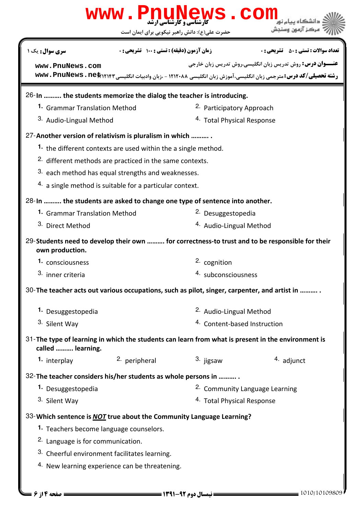|                                                                                                                         |                                                                | www.PnuNews.con                | مركز آزمون وسندش                                                                                                                                                                   |  |  |
|-------------------------------------------------------------------------------------------------------------------------|----------------------------------------------------------------|--------------------------------|------------------------------------------------------------------------------------------------------------------------------------------------------------------------------------|--|--|
|                                                                                                                         | حضرت علی(ع): دانش راهبر نیکویی برای ایمان است                  |                                |                                                                                                                                                                                    |  |  |
| <b>سری سوال :</b> یک ۱                                                                                                  | زمان آزمون (دقیقه) : تستی : 100 تشریحی : 0                     |                                | <b>تعداد سوالات : تستی : 50 ٪ تشریحی : 0</b>                                                                                                                                       |  |  |
| www.PnuNews.com                                                                                                         |                                                                |                                | <b>عنـــوان درس:</b> روش تدریس زبان انگلیسی،روش تدریس زبان خارجی<br>رشته تحصیلی/کد درس: مترجمی زبان انگلیسی، آموزش زبان انگلیسی ۱۲۱۲۰۸۸ - ،زبان وادبیات انگلیسی www. PnuNews . net |  |  |
|                                                                                                                         |                                                                |                                |                                                                                                                                                                                    |  |  |
| 26-In  the students memorize the dialog the teacher is introducing.                                                     |                                                                |                                |                                                                                                                                                                                    |  |  |
|                                                                                                                         | 1. Grammar Translation Method                                  |                                | 2. Participatory Approach                                                                                                                                                          |  |  |
|                                                                                                                         | 3. Audio-Lingual Method                                        |                                | <sup>4.</sup> Total Physical Response                                                                                                                                              |  |  |
| 27-Another version of relativism is pluralism in which                                                                  |                                                                |                                |                                                                                                                                                                                    |  |  |
|                                                                                                                         | 1. the different contexts are used within the a single method. |                                |                                                                                                                                                                                    |  |  |
| <sup>2.</sup> different methods are practiced in the same contexts.                                                     |                                                                |                                |                                                                                                                                                                                    |  |  |
| 3. each method has equal strengths and weaknesses.                                                                      |                                                                |                                |                                                                                                                                                                                    |  |  |
|                                                                                                                         | 4. a single method is suitable for a particular context.       |                                |                                                                                                                                                                                    |  |  |
| 28-In  the students are asked to change one type of sentence into another.                                              |                                                                |                                |                                                                                                                                                                                    |  |  |
| 1. Grammar Translation Method                                                                                           |                                                                |                                | <sup>2.</sup> Desuggestopedia                                                                                                                                                      |  |  |
| 3. Direct Method                                                                                                        |                                                                | 4. Audio-Lingual Method        |                                                                                                                                                                                    |  |  |
| own production.                                                                                                         |                                                                |                                | 29-Students need to develop their own  for correctness-to trust and to be responsible for their                                                                                    |  |  |
| 1. consciousness                                                                                                        |                                                                | 2. cognition                   |                                                                                                                                                                                    |  |  |
| 3. inner criteria                                                                                                       |                                                                | 4. subconsciousness            |                                                                                                                                                                                    |  |  |
| 30-The teacher acts out various occupations, such as pilot, singer, carpenter, and artist in                            |                                                                |                                |                                                                                                                                                                                    |  |  |
| <sup>2.</sup> Audio-Lingual Method<br>1. Desuggestopedia                                                                |                                                                |                                |                                                                                                                                                                                    |  |  |
| 3. Silent Way                                                                                                           |                                                                |                                | 4. Content-based Instruction                                                                                                                                                       |  |  |
| 31-The type of learning in which the students can learn from what is present in the environment is<br>called  learning. |                                                                |                                |                                                                                                                                                                                    |  |  |
| 1. interplay                                                                                                            | 2. peripheral                                                  | 3. jigsaw                      | 4. adjunct                                                                                                                                                                         |  |  |
| 32-The teacher considers his/her students as whole persons in                                                           |                                                                |                                |                                                                                                                                                                                    |  |  |
| 1. Desuggestopedia                                                                                                      |                                                                | 2. Community Language Learning |                                                                                                                                                                                    |  |  |
| 3. Silent Way                                                                                                           |                                                                |                                | 4. Total Physical Response                                                                                                                                                         |  |  |
|                                                                                                                         |                                                                |                                |                                                                                                                                                                                    |  |  |
| 33- Which sentence is <b>NOT</b> true about the Community Language Learning?                                            |                                                                |                                |                                                                                                                                                                                    |  |  |
| <sup>1.</sup> Teachers become language counselors.                                                                      |                                                                |                                |                                                                                                                                                                                    |  |  |
| 2. Language is for communication.                                                                                       |                                                                |                                |                                                                                                                                                                                    |  |  |
| 3. Cheerful environment facilitates learning.                                                                           |                                                                |                                |                                                                                                                                                                                    |  |  |
| 4. New learning experience can be threatening.                                                                          |                                                                |                                |                                                                                                                                                                                    |  |  |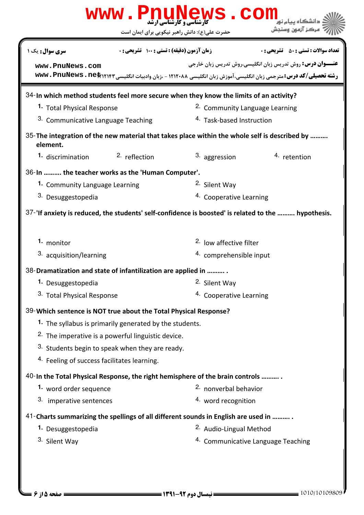| <b>www.PnuNews.com</b>                                                                                     |                                            |                                               |                                                                                                                                                                                     |  |  |
|------------------------------------------------------------------------------------------------------------|--------------------------------------------|-----------------------------------------------|-------------------------------------------------------------------------------------------------------------------------------------------------------------------------------------|--|--|
|                                                                                                            |                                            | حضرت علی(ع): دانش راهبر نیکویی برای ایمان است | مركز آزمون وسنجش                                                                                                                                                                    |  |  |
| سری سوال: یک ۱                                                                                             | زمان آزمون (دقیقه) : تستی : 100 تشریحی : 0 |                                               | <b>تعداد سوالات : تستي : 50 ٪ تشريحي : 0</b>                                                                                                                                        |  |  |
| www.PnuNews.com                                                                                            |                                            |                                               | <b>عنـــوان درس:</b> روش تدریس زبان انگلیسی،روش تدریس زبان خارجی<br>رشته تحصیلی/کد درس: مترجمی زبان انگلیسی، آموزش زبان انگلیسی ۱۲۱۲۰۸۸ - ،زبان وادبیات انگلیسی www . PnuNews . net |  |  |
| 34-In which method students feel more secure when they know the limits of an activity?                     |                                            |                                               |                                                                                                                                                                                     |  |  |
| 1. Total Physical Response                                                                                 |                                            |                                               | <sup>2.</sup> Community Language Learning                                                                                                                                           |  |  |
| <sup>3.</sup> Communicative Language Teaching                                                              |                                            |                                               | <sup>4.</sup> Task-based Instruction                                                                                                                                                |  |  |
| 35- The integration of the new material that takes place within the whole self is described by<br>element. |                                            |                                               |                                                                                                                                                                                     |  |  |
| <b>1.</b> discrimination                                                                                   | 2. reflection                              | 3. aggression                                 | 4. retention                                                                                                                                                                        |  |  |
| 36-In  the teacher works as the 'Human Computer'.                                                          |                                            |                                               |                                                                                                                                                                                     |  |  |
| 1. Community Language Learning                                                                             |                                            | <sup>2.</sup> Silent Way                      |                                                                                                                                                                                     |  |  |
| 3. Desuggestopedia                                                                                         |                                            | <sup>4.</sup> Cooperative Learning            |                                                                                                                                                                                     |  |  |
| 37-'If anxiety is reduced, the students' self-confidence is boosted' is related to the  hypothesis.        |                                            |                                               |                                                                                                                                                                                     |  |  |
| 1. monitor                                                                                                 |                                            | <sup>2.</sup> low affective filter            |                                                                                                                                                                                     |  |  |
| <sup>3.</sup> acquisition/learning                                                                         |                                            |                                               | 4. comprehensible input                                                                                                                                                             |  |  |
| 38-Dramatization and state of infantilization are applied in                                               |                                            |                                               |                                                                                                                                                                                     |  |  |
| 1. Desuggestopedia                                                                                         |                                            | 2. Silent Way                                 |                                                                                                                                                                                     |  |  |
| 3. Total Physical Response                                                                                 |                                            |                                               | 4. Cooperative Learning                                                                                                                                                             |  |  |
| 39-Which sentence is NOT true about the Total Physical Response?                                           |                                            |                                               |                                                                                                                                                                                     |  |  |
| 1. The syllabus is primarily generated by the students.                                                    |                                            |                                               |                                                                                                                                                                                     |  |  |
| <sup>2.</sup> The imperative is a powerful linguistic device.                                              |                                            |                                               |                                                                                                                                                                                     |  |  |
| 3. Students begin to speak when they are ready.                                                            |                                            |                                               |                                                                                                                                                                                     |  |  |
| <sup>4.</sup> Feeling of success facilitates learning.                                                     |                                            |                                               |                                                                                                                                                                                     |  |  |
| 40-In the Total Physical Response, the right hemisphere of the brain controls                              |                                            |                                               |                                                                                                                                                                                     |  |  |
| 1. word order sequence                                                                                     |                                            | 2. nonverbal behavior                         |                                                                                                                                                                                     |  |  |
| 3. imperative sentences                                                                                    |                                            | 4. word recognition                           |                                                                                                                                                                                     |  |  |
| 41-Charts summarizing the spellings of all different sounds in English are used in                         |                                            |                                               |                                                                                                                                                                                     |  |  |
| 1. Desuggestopedia                                                                                         |                                            | <sup>2.</sup> Audio-Lingual Method            |                                                                                                                                                                                     |  |  |
| 3. Silent Way                                                                                              |                                            |                                               | 4. Communicative Language Teaching                                                                                                                                                  |  |  |
|                                                                                                            |                                            |                                               |                                                                                                                                                                                     |  |  |